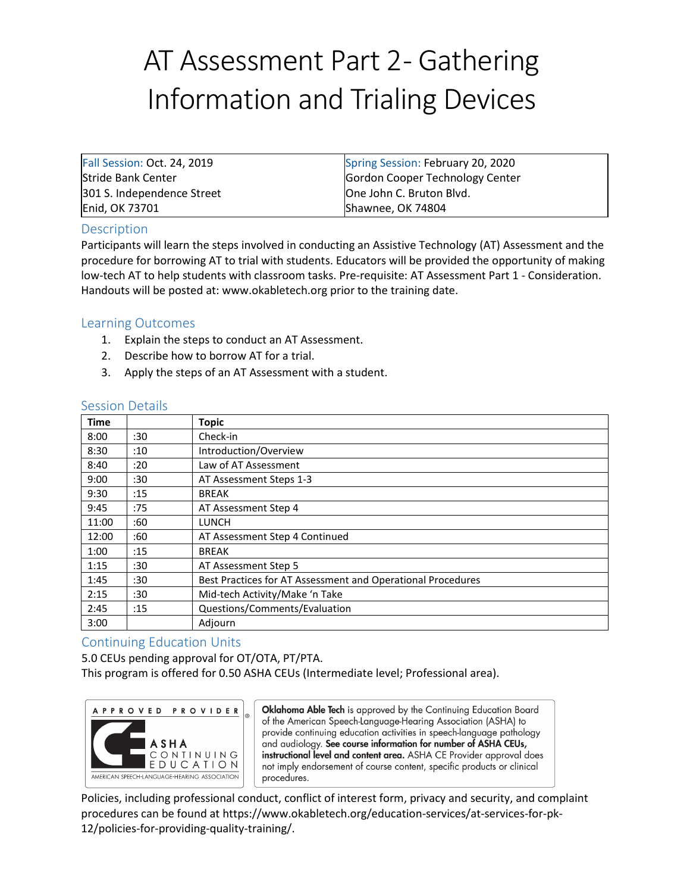## AT Assessment Part 2- Gathering Information and Trialing Devices

| Fall Session: Oct. 24, 2019 | Spring Session: February 20, 2020 |
|-----------------------------|-----------------------------------|
| <b>Stride Bank Center</b>   | Gordon Cooper Technology Center   |
| 301 S. Independence Street  | One John C. Bruton Blvd.          |
| Enid, OK 73701              | Shawnee, OK 74804                 |

## Description

Participants will learn the steps involved in conducting an Assistive Technology (AT) Assessment and the procedure for borrowing AT to trial with students. Educators will be provided the opportunity of making low-tech AT to help students with classroom tasks. Pre-requisite: AT Assessment Part 1 - Consideration. Handouts will be posted at: [www.okabletech.org](http://www.okabletech.org/) prior to the training date.

## Learning Outcomes

- 1. Explain the steps to conduct an AT Assessment.
- 2. Describe how to borrow AT for a trial.
- 3. Apply the steps of an AT Assessment with a student.

| <b>Time</b> |     | <b>Topic</b>                                                |
|-------------|-----|-------------------------------------------------------------|
| 8:00        | :30 | Check-in                                                    |
| 8:30        | :10 | Introduction/Overview                                       |
| 8:40        | :20 | Law of AT Assessment                                        |
| 9:00        | :30 | AT Assessment Steps 1-3                                     |
| 9:30        | :15 | <b>BREAK</b>                                                |
| 9:45        | :75 | AT Assessment Step 4                                        |
| 11:00       | :60 | <b>LUNCH</b>                                                |
| 12:00       | :60 | AT Assessment Step 4 Continued                              |
| 1:00        | :15 | <b>BREAK</b>                                                |
| 1:15        | :30 | AT Assessment Step 5                                        |
| 1:45        | :30 | Best Practices for AT Assessment and Operational Procedures |
| 2:15        | :30 | Mid-tech Activity/Make 'n Take                              |
| 2:45        | :15 | Questions/Comments/Evaluation                               |
| 3:00        |     | Adjourn                                                     |

## Session Details

## Continuing Education Units

5.0 CEUs pending approval for OT/OTA, PT/PTA. This program is offered for 0.50 ASHA CEUs (Intermediate level; Professional area).



Oklahoma Able Tech is approved by the Continuing Education Board of the American Speech-Language-Hearing Association (ASHA) to provide continuing education activities in speech-language pathology and audiology. See course information for number of ASHA CEUs, instructional level and content area. ASHA CE Provider approval does not imply endorsement of course content, specific products or clinical procedures.

Policies, including professional conduct, conflict of interest form, privacy and security, and complaint procedures can be found at https://www.okabletech.org/education-services/at-services-for-pk-12/policies-for-providing-quality-training/.